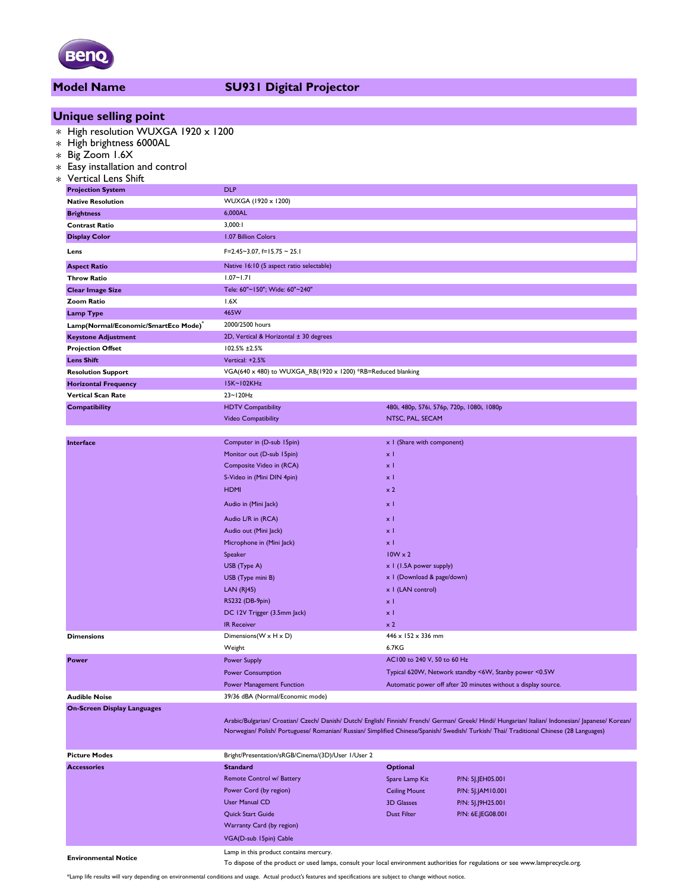

# **Model Name SU931 Digital Projector**

# **Unique selling point**

- \* High resolution WUXGA 1920 x 1200
- \* High brightness 6000AL
- \* Big Zoom 1.6X
- \* Easy installation and control
- \* Vertical Lens Shift

| $C1$ creat control control          |                                                              |                                                                |  |  |  |  |
|-------------------------------------|--------------------------------------------------------------|----------------------------------------------------------------|--|--|--|--|
| <b>Projection System</b>            | <b>DLP</b>                                                   |                                                                |  |  |  |  |
| <b>Native Resolution</b>            | WUXGA (1920 x 1200)                                          |                                                                |  |  |  |  |
| <b>Brightness</b>                   | 6,000AL                                                      |                                                                |  |  |  |  |
| <b>Contrast Ratio</b>               | 3,000:1                                                      |                                                                |  |  |  |  |
| <b>Display Color</b>                | 1.07 Billion Colors                                          |                                                                |  |  |  |  |
| Lens                                | $F=2.45-3.07$ , $f=15.75-25.1$                               |                                                                |  |  |  |  |
| <b>Aspect Ratio</b>                 | Native 16:10 (5 aspect ratio selectable)                     |                                                                |  |  |  |  |
| <b>Throw Ratio</b>                  | $1.07 - 1.71$                                                |                                                                |  |  |  |  |
| <b>Clear Image Size</b>             | Tele: 60"~150"; Wide: 60"~240"                               |                                                                |  |  |  |  |
| <b>Zoom Ratio</b>                   | 1.6X                                                         |                                                                |  |  |  |  |
| <b>Lamp Type</b>                    | 465W                                                         |                                                                |  |  |  |  |
| Lamp(Normal/Economic/SmartEco Mode) | 2000/2500 hours                                              |                                                                |  |  |  |  |
| <b>Keystone Adjustment</b>          | 2D, Vertical & Horizontal ± 30 degrees                       |                                                                |  |  |  |  |
| <b>Projection Offset</b>            | 102.5% ±2.5%                                                 |                                                                |  |  |  |  |
| <b>Lens Shift</b>                   | Vertical: +2.5%                                              |                                                                |  |  |  |  |
| <b>Resolution Support</b>           | VGA(640 x 480) to WUXGA_RB(1920 x 1200) *RB=Reduced blanking |                                                                |  |  |  |  |
| <b>Horizontal Frequency</b>         | I5K~102KHz                                                   |                                                                |  |  |  |  |
| <b>Vertical Scan Rate</b>           | 23~120Hz                                                     |                                                                |  |  |  |  |
| <b>Compatibility</b>                | <b>HDTV Compatibility</b>                                    | 480i, 480p, 576i, 576p, 720p, 1080i, 1080p                     |  |  |  |  |
|                                     | Video Compatibility                                          | NTSC, PAL, SECAM                                               |  |  |  |  |
|                                     |                                                              |                                                                |  |  |  |  |
| <b>Interface</b>                    | Computer in (D-sub 15pin)                                    | x I (Share with component)                                     |  |  |  |  |
|                                     | Monitor out (D-sub 15pin)                                    | x <sub>1</sub>                                                 |  |  |  |  |
|                                     | Composite Video in (RCA)                                     | $\times$ 1                                                     |  |  |  |  |
|                                     | S-Video in (Mini DIN 4pin)                                   | x <sub>1</sub>                                                 |  |  |  |  |
|                                     | <b>HDMI</b>                                                  | $\times 2$                                                     |  |  |  |  |
|                                     | Audio in (Mini Jack)                                         | $\times$ 1                                                     |  |  |  |  |
|                                     | Audio L/R in (RCA)                                           | $\times$ 1                                                     |  |  |  |  |
|                                     | Audio out (Mini Jack)                                        | $\times$ 1                                                     |  |  |  |  |
|                                     | Microphone in (Mini Jack)                                    | $\times$ 1                                                     |  |  |  |  |
|                                     | Speaker                                                      | $10W \times 2$                                                 |  |  |  |  |
|                                     | USB (Type A)                                                 | x I (I.5A power supply)                                        |  |  |  |  |
|                                     | USB (Type mini B)                                            | x I (Download & page/down)                                     |  |  |  |  |
|                                     | LAN(RJ45)                                                    | x   (LAN control)                                              |  |  |  |  |
|                                     | RS232 (DB-9pin)                                              | $\times$ 1                                                     |  |  |  |  |
|                                     | DC 12V Trigger (3.5mm Jack)                                  | x <sub>1</sub>                                                 |  |  |  |  |
|                                     | <b>IR Receiver</b>                                           | $\times 2$                                                     |  |  |  |  |
| <b>Dimensions</b>                   | Dimensions (W x H x D)                                       | 446 x 152 x 336 mm                                             |  |  |  |  |
|                                     | Weight                                                       | 6.7KG                                                          |  |  |  |  |
| <b>Power</b>                        | Power Supply                                                 | AC100 to 240 V, 50 to 60 Hz                                    |  |  |  |  |
|                                     | <b>Power Consumption</b>                                     | Typical 620W, Network standby <6W, Stanby power <0.5W          |  |  |  |  |
|                                     | Power Management Function                                    | Automatic power off after 20 minutes without a display source. |  |  |  |  |
| <b>Audible Noise</b>                | 39/36 dBA (Normal/Economic mode)                             |                                                                |  |  |  |  |

**On-Screen Display Languages**

Arabic/Bulgarian/ Croatian/ Czech/ Danish/ Dutch/ English/ Finnish/ French/ German/ Greek/ Hindi/ Hungarian/ Italian/ Indonesian/ Japanese/ Korean/ Norwegian/ Polish/ Portuguese/ Romanian/ Russian/ Simplified Chinese/Spanish/ Swedish/ Turkish/ Thai/ Traditional Chinese (28 Languages)

| <b>Picture Modes</b> | Bright/Presentation/sRGB/Cinema/(3D)/User 1/User 2 |                      |                    |  |  |
|----------------------|----------------------------------------------------|----------------------|--------------------|--|--|
| <b>Accessories</b>   | <b>Standard</b>                                    | <b>Optional</b>      |                    |  |  |
|                      | Remote Control w/ Battery                          | Spare Lamp Kit       | P/N: 5J.JEH05.001  |  |  |
|                      | Power Cord (by region)                             | <b>Ceiling Mount</b> | P/N: 5J.JAM10.001  |  |  |
|                      | User Manual CD                                     | <b>3D Glasses</b>    | P/N: 51.19H25.001  |  |  |
|                      | Quick Start Guide                                  | <b>Dust Filter</b>   | P/N: 6E. [EG08.001 |  |  |
|                      | Warranty Card (by region)                          |                      |                    |  |  |
|                      | VGA(D-sub 15pin) Cable                             |                      |                    |  |  |
|                      | Lamp in this product contains mercury.             |                      |                    |  |  |

Lamp in this product contains mercury.<br>To dispose of the product or used lamps, consult your local environment authorities for regulations or see www.lamprecycle.org.<br>To dispose of the product or used lamps, consult your l

\*Lamp life results will vary depending on environmental conditions and usage. Actual product's features and specifications are subject to change without notice.